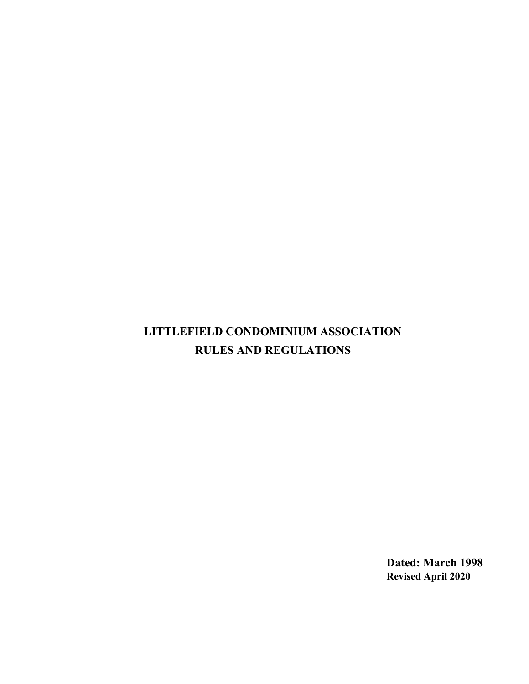# LITTLEFIELD CONDOMINIUM ASSOCIATION RULES AND REGULATIONS

Dated: March 1998 Revised April 2020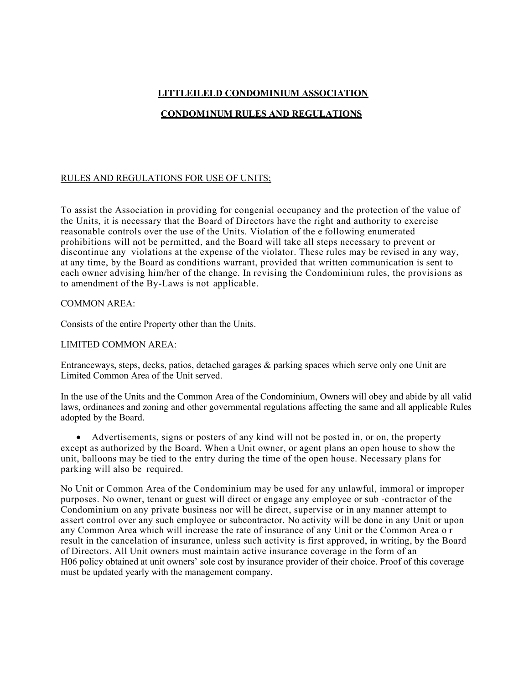# LITTLEILELD CONDOMINIUM ASSOCIATION

# CONDOM1NUM RULES AND REGULATIONS

## RULES AND REGULATIONS FOR USE OF UNITS;

To assist the Association in providing for congenial occupancy and the protection of the value of the Units, it is necessary that the Board of Directors have the right and authority to exercise reasonable controls over the use of the Units. Violation of the e following enumerated prohibitions will not be permitted, and the Board will take all steps necessary to prevent or discontinue any violations at the expense of the violator. These rules may be revised in any way, at any time, by the Board as conditions warrant, provided that written communication is sent to each owner advising him/her of the change. In revising the Condominium rules, the provisions as to amendment of the By-Laws is not applicable.

#### COMMON AREA:

Consists of the entire Property other than the Units.

## LIMITED COMMON AREA:

Entranceways, steps, decks, patios, detached garages & parking spaces which serve only one Unit are Limited Common Area of the Unit served.

In the use of the Units and the Common Area of the Condominium, Owners will obey and abide by all valid laws, ordinances and zoning and other governmental regulations affecting the same and all applicable Rules adopted by the Board.

 Advertisements, signs or posters of any kind will not be posted in, or on, the property except as authorized by the Board. When a Unit owner, or agent plans an open house to show the unit, balloons may be tied to the entry during the time of the open house. Necessary plans for parking will also be required.

No Unit or Common Area of the Condominium may be used for any unlawful, immoral or improper purposes. No owner, tenant or guest will direct or engage any employee or sub -contractor of the Condominium on any private business nor will he direct, supervise or in any manner attempt to assert control over any such employee or subcontractor. No activity will be done in any Unit or upon any Common Area which will increase the rate of insurance of any Unit or the Common Area o r result in the cancelation of insurance, unless such activity is first approved, in writing, by the Board of Directors. All Unit owners must maintain active insurance coverage in the form of an H06 policy obtained at unit owners' sole cost by insurance provider of their choice. Proof of this coverage must be updated yearly with the management company.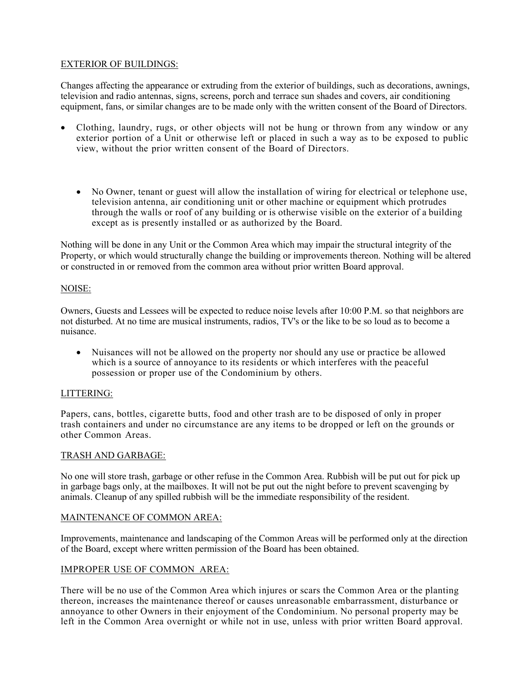# EXTERIOR OF BUILDINGS:

Changes affecting the appearance or extruding from the exterior of buildings, such as decorations, awnings, television and radio antennas, signs, screens, porch and terrace sun shades and covers, air conditioning equipment, fans, or similar changes are to be made only with the written consent of the Board of Directors.

- Clothing, laundry, rugs, or other objects will not be hung or thrown from any window or any exterior portion of a Unit or otherwise left or placed in such a way as to be exposed to public view, without the prior written consent of the Board of Directors.
	- No Owner, tenant or guest will allow the installation of wiring for electrical or telephone use, television antenna, air conditioning unit or other machine or equipment which protrudes through the walls or roof of any building or is otherwise visible on the exterior of a building except as is presently installed or as authorized by the Board.

Nothing will be done in any Unit or the Common Area which may impair the structural integrity of the Property, or which would structurally change the building or improvements thereon. Nothing will be altered or constructed in or removed from the common area without prior written Board approval.

## NOISE:

Owners, Guests and Lessees will be expected to reduce noise levels after 10:00 P.M. so that neighbors are not disturbed. At no time are musical instruments, radios, TV's or the like to be so loud as to become a nuisance.

 Nuisances will not be allowed on the property nor should any use or practice be allowed which is a source of annoyance to its residents or which interferes with the peaceful possession or proper use of the Condominium by others.

## LITTERING:

Papers, cans, bottles, cigarette butts, food and other trash are to be disposed of only in proper trash containers and under no circumstance are any items to be dropped or left on the grounds or other Common Areas.

## TRASH AND GARBAGE:

No one will store trash, garbage or other refuse in the Common Area. Rubbish will be put out for pick up in garbage bags only, at the mailboxes. It will not be put out the night before to prevent scavenging by animals. Cleanup of any spilled rubbish will be the immediate responsibility of the resident.

## MAINTENANCE OF COMMON AREA:

Improvements, maintenance and landscaping of the Common Areas will be performed only at the direction of the Board, except where written permission of the Board has been obtained.

## IMPROPER USE OF COMMON AREA:

There will be no use of the Common Area which injures or scars the Common Area or the planting thereon, increases the maintenance thereof or causes unreasonable embarrassment, disturbance or annoyance to other Owners in their enjoyment of the Condominium. No personal property may be left in the Common Area overnight or while not in use, unless with prior written Board approval.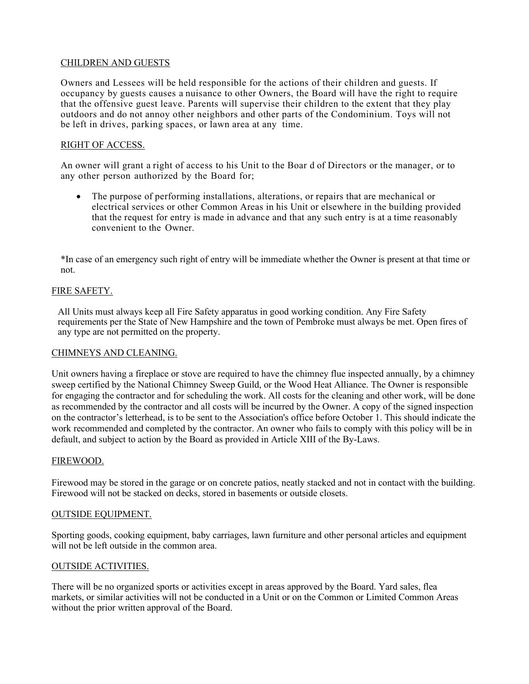## CHILDREN AND GUESTS

Owners and Lessees will be held responsible for the actions of their children and guests. If occupancy by guests causes a nuisance to other Owners, the Board will have the right to require that the offensive guest leave. Parents will supervise their children to the extent that they play outdoors and do not annoy other neighbors and other parts of the Condominium. Toys will not be left in drives, parking spaces, or lawn area at any time.

## RIGHT OF ACCESS.

An owner will grant a right of access to his Unit to the Boar d of Directors or the manager, or to any other person authorized by the Board for;

 The purpose of performing installations, alterations, or repairs that are mechanical or electrical services or other Common Areas in his Unit or elsewhere in the building provided that the request for entry is made in advance and that any such entry is at a time reasonably convenient to the Owner.

\*In case of an emergency such right of entry will be immediate whether the Owner is present at that time or not.

## FIRE SAFETY.

All Units must always keep all Fire Safety apparatus in good working condition. Any Fire Safety requirements per the State of New Hampshire and the town of Pembroke must always be met. Open fires of any type are not permitted on the property.

## CHIMNEYS AND CLEANING.

Unit owners having a fireplace or stove are required to have the chimney flue inspected annually, by a chimney sweep certified by the National Chimney Sweep Guild, or the Wood Heat Alliance. The Owner is responsible for engaging the contractor and for scheduling the work. All costs for the cleaning and other work, will be done as recommended by the contractor and all costs will be incurred by the Owner. A copy of the signed inspection on the contractor's letterhead, is to be sent to the Association's office before October 1. This should indicate the work recommended and completed by the contractor. An owner who fails to comply with this policy will be in default, and subject to action by the Board as provided in Article XIII of the By-Laws.

## FIREWOOD.

Firewood may be stored in the garage or on concrete patios, neatly stacked and not in contact with the building. Firewood will not be stacked on decks, stored in basements or outside closets.

## OUTSIDE EQUIPMENT.

Sporting goods, cooking equipment, baby carriages, lawn furniture and other personal articles and equipment will not be left outside in the common area.

## OUTSIDE ACTIVITIES.

There will be no organized sports or activities except in areas approved by the Board. Yard sales, flea markets, or similar activities will not be conducted in a Unit or on the Common or Limited Common Areas without the prior written approval of the Board.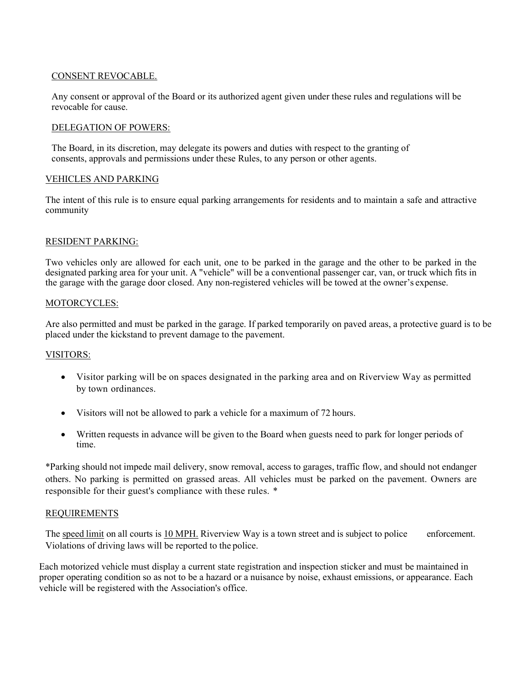## CONSENT REVOCABLE.

Any consent or approval of the Board or its authorized agent given under these rules and regulations will be revocable for cause.

#### DELEGATION OF POWERS:

The Board, in its discretion, may delegate its powers and duties with respect to the granting of consents, approvals and permissions under these Rules, to any person or other agents.

## VEHICLES AND PARKING

The intent of this rule is to ensure equal parking arrangements for residents and to maintain a safe and attractive community

#### RESIDENT PARKING:

Two vehicles only are allowed for each unit, one to be parked in the garage and the other to be parked in the designated parking area for your unit. A "vehicle" will be a conventional passenger car, van, or truck which fits in the garage with the garage door closed. Any non-registered vehicles will be towed at the owner's expense.

#### MOTORCYCLES:

Are also permitted and must be parked in the garage. If parked temporarily on paved areas, a protective guard is to be placed under the kickstand to prevent damage to the pavement.

## VISITORS:

- Visitor parking will be on spaces designated in the parking area and on Riverview Way as permitted by town ordinances.
- Visitors will not be allowed to park a vehicle for a maximum of 72 hours.
- Written requests in advance will be given to the Board when guests need to park for longer periods of time.

\*Parking should not impede mail delivery, snow removal, access to garages, traffic flow, and should not endanger others. No parking is permitted on grassed areas. All vehicles must be parked on the pavement. Owners are responsible for their guest's compliance with these rules. \*

#### REQUIREMENTS

The speed limit on all courts is 10 MPH. Riverview Way is a town street and is subject to police enforcement. Violations of driving laws will be reported to the police.

Each motorized vehicle must display a current state registration and inspection sticker and must be maintained in proper operating condition so as not to be a hazard or a nuisance by noise, exhaust emissions, or appearance. Each vehicle will be registered with the Association's office.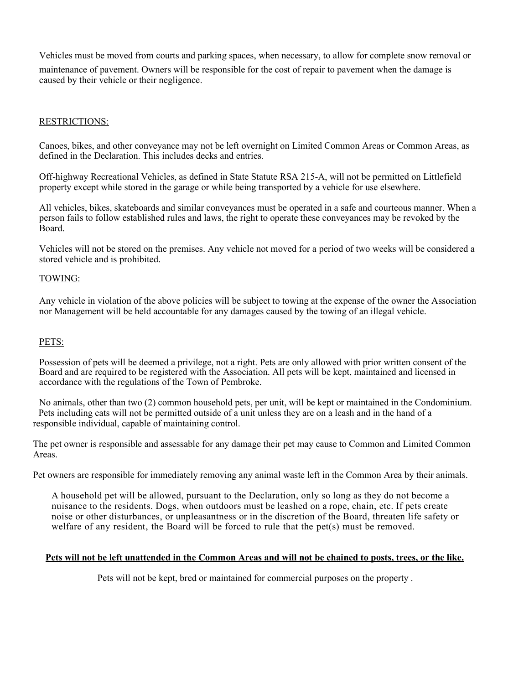Vehicles must be moved from courts and parking spaces, when necessary, to allow for complete snow removal or

maintenance of pavement. Owners will be responsible for the cost of repair to pavement when the damage is caused by their vehicle or their negligence.

# RESTRICTIONS:

Canoes, bikes, and other conveyance may not be left overnight on Limited Common Areas or Common Areas, as defined in the Declaration. This includes decks and entries.

Off-highway Recreational Vehicles, as defined in State Statute RSA 215-A, will not be permitted on Littlefield property except while stored in the garage or while being transported by a vehicle for use elsewhere.

All vehicles, bikes, skateboards and similar conveyances must be operated in a safe and courteous manner. When a person fails to follow established rules and laws, the right to operate these conveyances may be revoked by the Board.

Vehicles will not be stored on the premises. Any vehicle not moved for a period of two weeks will be considered a stored vehicle and is prohibited.

## TOWING:

Any vehicle in violation of the above policies will be subject to towing at the expense of the owner the Association nor Management will be held accountable for any damages caused by the towing of an illegal vehicle.

## PETS:

Possession of pets will be deemed a privilege, not a right. Pets are only allowed with prior written consent of the Board and are required to be registered with the Association. All pets will be kept, maintained and licensed in accordance with the regulations of the Town of Pembroke.

No animals, other than two (2) common household pets, per unit, will be kept or maintained in the Condominium. Pets including cats will not be permitted outside of a unit unless they are on a leash and in the hand of a responsible individual, capable of maintaining control.

The pet owner is responsible and assessable for any damage their pet may cause to Common and Limited Common Areas.

Pet owners are responsible for immediately removing any animal waste left in the Common Area by their animals.

A household pet will be allowed, pursuant to the Declaration, only so long as they do not become a nuisance to the residents. Dogs, when outdoors must be leashed on a rope, chain, etc. If pets create noise or other disturbances, or unpleasantness or in the discretion of the Board, threaten life safety or welfare of any resident, the Board will be forced to rule that the pet $(s)$  must be removed.

#### Pets will not be left unattended in the Common Areas and will not be chained to posts, trees, or the like.

Pets will not be kept, bred or maintained for commercial purposes on the property .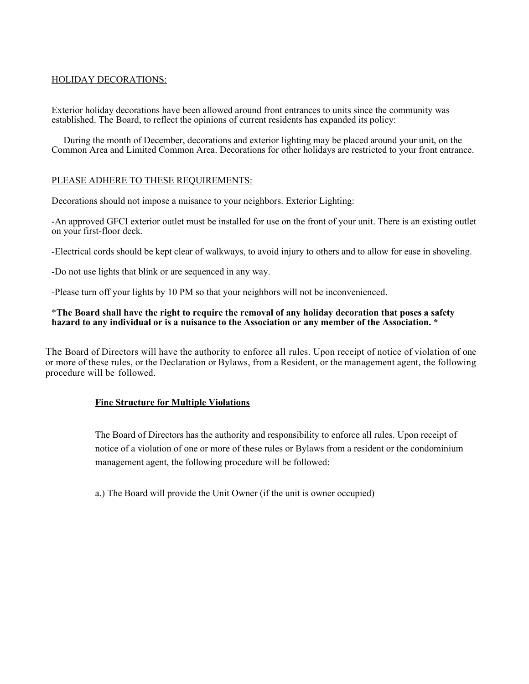## HOLIDAY DECORATIONS:

Exterior holiday decorations have been allowed around front entrances to units since the community was established. The Board, to reflect the opinions of current residents has expanded its policy:

During the month of December, decorations and exterior lighting may be placed around your unit, on the Common Area and Limited Common Area. Decorations for other holidays are restricted to your front entrance.

#### PLEASE ADHERE TO THESE REQUIREMENTS:

Decorations should not impose a nuisance to your neighbors. Exterior Lighting:

-An approved GFCI exterior outlet must be installed for use on the front of your unit. There is an existing outlet on your first-floor deck.

-Electrical cords should be kept clear of walkways, to avoid injury to others and to allow for ease in shoveling.

-Do not use lights that blink or are sequenced in any way.

-Please turn off your lights by 10 PM so that your neighbors will not be inconvenienced.

#### \*The Board shall have the right to require the removal of any holiday decoration that poses a safety hazard to any individual or is a nuisance to the Association or any member of the Association. \*

The Board of Directors will have the authority to enforce all rules. Upon receipt of notice of violation of one or more of these rules, or the Declaration or Bylaws, from a Resident, or the management agent, the following procedure will be followed.

## Fine Structure for Multiple Violations

The Board of Directors has the authority and responsibility to enforce all rules. Upon receipt of notice of a violation of one or more of these rules or Bylaws from a resident or the condominium management agent, the following procedure will be followed:

a.) The Board will provide the Unit Owner (if the unit is owner occupied)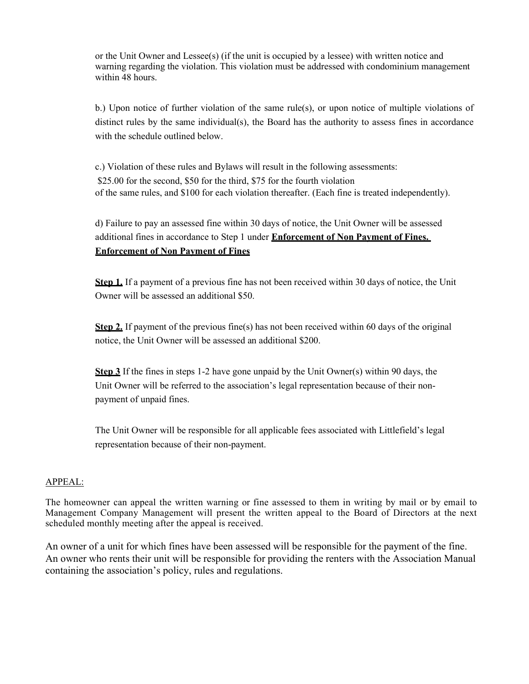or the Unit Owner and Lessee(s) (if the unit is occupied by a lessee) with written notice and warning regarding the violation. This violation must be addressed with condominium management within 48 hours.

b.) Upon notice of further violation of the same rule(s), or upon notice of multiple violations of distinct rules by the same individual(s), the Board has the authority to assess fines in accordance with the schedule outlined below.

c.) Violation of these rules and Bylaws will result in the following assessments: \$25.00 for the second, \$50 for the third, \$75 for the fourth violation of the same rules, and \$100 for each violation thereafter. (Each fine is treated independently).

d) Failure to pay an assessed fine within 30 days of notice, the Unit Owner will be assessed additional fines in accordance to Step 1 under Enforcement of Non Payment of Fines. Enforcement of Non Payment of Fines

Step 1. If a payment of a previous fine has not been received within 30 days of notice, the Unit Owner will be assessed an additional \$50.

Step 2. If payment of the previous fine(s) has not been received within 60 days of the original notice, the Unit Owner will be assessed an additional \$200.

**Step 3** If the fines in steps 1-2 have gone unpaid by the Unit Owner(s) within 90 days, the Unit Owner will be referred to the association's legal representation because of their nonpayment of unpaid fines.

The Unit Owner will be responsible for all applicable fees associated with Littlefield's legal representation because of their non-payment.

## APPEAL:

The homeowner can appeal the written warning or fine assessed to them in writing by mail or by email to Management Company Management will present the written appeal to the Board of Directors at the next scheduled monthly meeting after the appeal is received.

An owner of a unit for which fines have been assessed will be responsible for the payment of the fine. An owner who rents their unit will be responsible for providing the renters with the Association Manual containing the association's policy, rules and regulations.